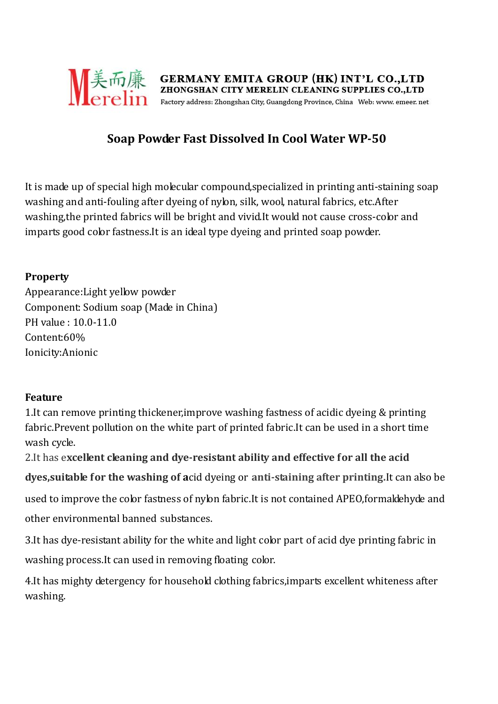

# **Soap Powder Fast Dissolved In Cool Water WP-50**

It is made up of special high molecular compound,specialized in printing anti-staining soap washing and anti-fouling after dyeing of nylon, silk, wool, natural fabrics, etc.After washing,the printed fabrics will be bright and vivid.It would not cause cross-color and imparts good color fastness.It is an ideal type dyeing and printed soap powder.

### **Property**

Appearance:Light yellow powder Component: Sodium soap (Made in China) PH value : 10.0-11.0 Content:60% Ionicity:Anionic

### **Feature**

1.It can remove printing thickener,improve washing fastness of acidic dyeing & printing fabric.Prevent pollution on the white part of printed fabric.It can be used in a short time wash cycle.

2.It has e**xcellent cleaning and dye-resistant ability and effective for all the acid dyes,suitable for the washing of a**cid dyeing or **anti-staining after printing.**It can also be used to improve the color fastness of nylon fabric.It is not contained APEO,formaldehyde and other environmental banned substances.

3.It has dye-resistant ability for the white and light color part of acid dye printing fabric in washing process.It can used in removing floating color.

4.It has mighty detergency for household clothing fabrics,imparts excellent whiteness after washing.